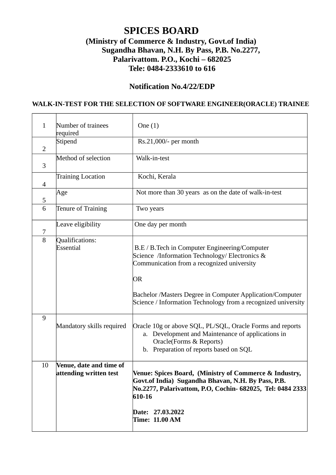# **SPICES BOARD (Ministry of Commerce & Industry, Govt.of India) Sugandha Bhavan, N.H. By Pass, P.B. No.2277, Palarivattom. P.O., Kochi – 682025 Tele: 0484-2333610 to 616**

## **Notification No.4/22/EDP**

#### **WALK-IN-TEST FOR THE SELECTION OF SOFTWARE ENGINEER(ORACLE) TRAINEE**

| $\mathbf{1}$   | Number of trainees<br>required                    | One $(1)$                                                                                                                                                                                                                                                                         |
|----------------|---------------------------------------------------|-----------------------------------------------------------------------------------------------------------------------------------------------------------------------------------------------------------------------------------------------------------------------------------|
| $\overline{2}$ | Stipend                                           | Rs.21,000/- per month                                                                                                                                                                                                                                                             |
| 3              | Method of selection                               | Walk-in-test                                                                                                                                                                                                                                                                      |
| 4              | <b>Training Location</b>                          | Kochi, Kerala                                                                                                                                                                                                                                                                     |
| 5              | Age                                               | Not more than 30 years as on the date of walk-in-test                                                                                                                                                                                                                             |
| 6              | Tenure of Training                                | Two years                                                                                                                                                                                                                                                                         |
| $\overline{7}$ | Leave eligibility                                 | One day per month                                                                                                                                                                                                                                                                 |
| 8              | Qualifications:<br>Essential                      | B.E / B.Tech in Computer Engineering/Computer<br>Science /Information Technology/ Electronics &<br>Communication from a recognized university<br>OR<br>Bachelor /Masters Degree in Computer Application/Computer<br>Science / Information Technology from a recognized university |
| 9              | Mandatory skills required                         | Oracle 10g or above SQL, PL/SQL, Oracle Forms and reports<br>a. Development and Maintenance of applications in<br>Oracle(Forms & Reports)<br>b. Preparation of reports based on SQL                                                                                               |
| 10             | Venue, date and time of<br>attending written test | Venue: Spices Board, (Ministry of Commerce & Industry,<br>Govt.of India) Sugandha Bhavan, N.H. By Pass, P.B.<br>No.2277, Palarivattom, P.O, Cochin- 682025,  Tel: 0484 2333<br>610-16<br>Date: 27.03.2022<br><b>Time: 11.00 AM</b>                                                |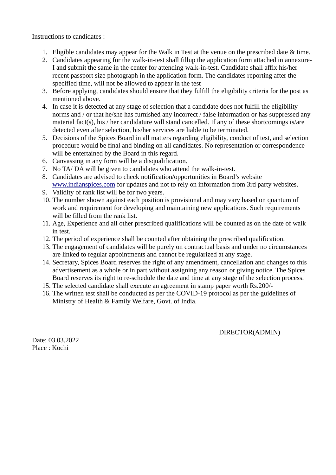Instructions to candidates :

- 1. Eligible candidates may appear for the Walk in Test at the venue on the prescribed date & time.
- 2. Candidates appearing for the walk-in-test shall fillup the application form attached in annexure-I and submit the same in the center for attending walk-in-test. Candidate shall affix his/her recent passport size photograph in the application form. The candidates reporting after the specified time, will not be allowed to appear in the test
- 3. Before applying, candidates should ensure that they fulfill the eligibility criteria for the post as mentioned above.
- 4. In case it is detected at any stage of selection that a candidate does not fulfill the eligibility norms and / or that he/she has furnished any incorrect / false information or has suppressed any material fact(s), his / her candidature will stand cancelled. If any of these shortcomings is/are detected even after selection, his/her services are liable to be terminated.
- 5. Decisions of the Spices Board in all matters regarding eligibility, conduct of test, and selection procedure would be final and binding on all candidates. No representation or correspondence will be entertained by the Board in this regard.
- 6. Canvassing in any form will be a disqualification.
- 7. No TA/ DA will be given to candidates who attend the walk-in-test.
- 8. Candidates are advised to check notification/opportunities in Board's website [www.indianspices.com](http://www.indianspices.com/) for updates and not to rely on information from 3rd party websites.
- 9. Validity of rank list will be for two years.
- 10. The number shown against each position is provisional and may vary based on quantum of work and requirement for developing and maintaining new applications. Such requirements will be filled from the rank list.
- 11. Age, Experience and all other prescribed qualifications will be counted as on the date of walk in test.
- 12. The period of experience shall be counted after obtaining the prescribed qualification.
- 13. The engagement of candidates will be purely on contractual basis and under no circumstances are linked to regular appointments and cannot be regularized at any stage.
- 14. Secretary, Spices Board reserves the right of any amendment, cancellation and changes to this advertisement as a whole or in part without assigning any reason or giving notice. The Spices Board reserves its right to re-schedule the date and time at any stage of the selection process.
- 15. The selected candidate shall execute an agreement in stamp paper worth Rs.200/-
- 16. The written test shall be conducted as per the COVID-19 protocol as per the guidelines of Ministry of Health & Family Welfare, Govt. of India.

DIRECTOR(ADMIN)

Date: 03.03.2022 Place : Kochi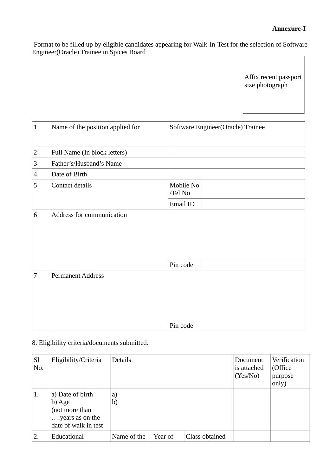## **Annexure-I**

 Format to be filled up by eligible candidates appearing for Walk-In-Test for the selection of Software Engineer(Oracle) Trainee in Spices Board

> Affix recent passport size photograph

| $\mathbf{1}$   | Name of the position applied for | Software Engineer(Oracle) Trainee |  |  |
|----------------|----------------------------------|-----------------------------------|--|--|
| $\overline{2}$ | Full Name (In block letters)     |                                   |  |  |
| $\mathbf{3}$   | Father's/Husband's Name          |                                   |  |  |
| $\overline{4}$ | Date of Birth                    |                                   |  |  |
| 5              | Contact details                  | Mobile No<br>/Tel No              |  |  |
|                |                                  | Email ID                          |  |  |
| 6              | Address for communication        |                                   |  |  |
|                |                                  | Pin code                          |  |  |
| 7              | <b>Permanent Address</b>         | Pin code                          |  |  |

## 8. Eligibility criteria/documents submitted.

| <b>Sl</b><br>No. | Eligibility/Criteria                                                                    | <b>Details</b> |         |                | Document<br>is attached<br>(Yes/No) | Verification<br>(Office<br>purpose<br>only) |
|------------------|-----------------------------------------------------------------------------------------|----------------|---------|----------------|-------------------------------------|---------------------------------------------|
| 1.               | a) Date of birth<br>b) Age<br>(not more than<br>years as on the<br>date of walk in test | a)<br>b)       |         |                |                                     |                                             |
| 2.               | Educational                                                                             | Name of the    | Year of | Class obtained |                                     |                                             |